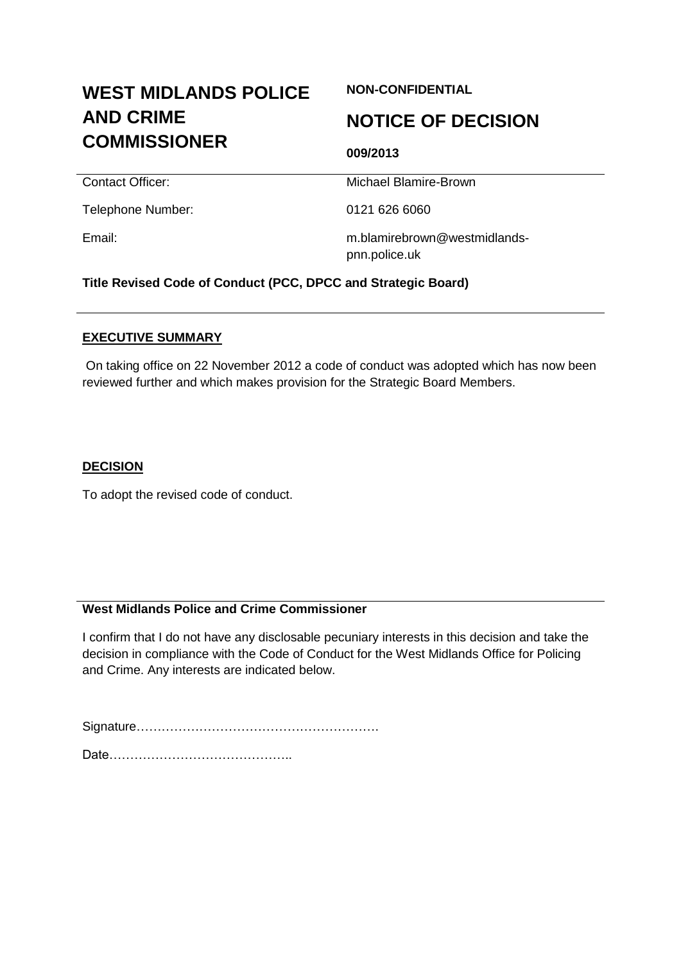# **WEST MIDLANDS POLICE AND CRIME COMMISSIONER**

# **NON-CONFIDENTIAL**

# **NOTICE OF DECISION**

**Contact Officer:** Michael Blamire-Brown

Telephone Number: 0121 626 6060

**009/2013**

Email: m.blamirebrown@westmidlandspnn.police.uk

**Title Revised Code of Conduct (PCC, DPCC and Strategic Board)**

#### **EXECUTIVE SUMMARY**

On taking office on 22 November 2012 a code of conduct was adopted which has now been reviewed further and which makes provision for the Strategic Board Members.

# **DECISION**

To adopt the revised code of conduct.

# **West Midlands Police and Crime Commissioner**

I confirm that I do not have any disclosable pecuniary interests in this decision and take the decision in compliance with the Code of Conduct for the West Midlands Office for Policing and Crime. Any interests are indicated below.

Signature………………………………………………….

Date……………………………………..